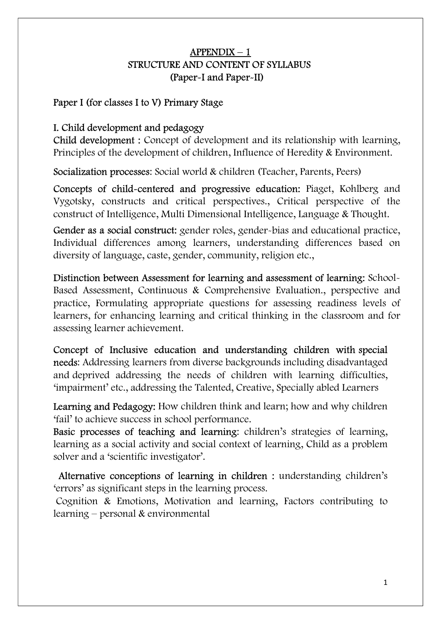### APPENDIX – 1 STRUCTURE AND CONTENT OF SYLLABUS (Paper-I and Paper-II)

### Paper I (for classes I to V) Primary Stage

### I. Child development and pedagogy

Child development : Concept of development and its relationship with learning, Principles of the development of children, Influence of Heredity & Environment.

Socialization processes: Social world & children (Teacher, Parents, Peers) Ĭ

Concepts of child-centered and progressive education: Piaget, Kohlberg and Vygotsky, constructs and critical perspectives., Critical perspective of the construct of Intelligence, Multi Dimensional Intelligence, Language & Thought.

Gender as a social construct: gender roles, gender-bias and educational practice, Individual differences among learners, understanding differences based on diversity of language, caste, gender, community, religion etc.,

Distinction between Assessment for learning and assessment of learning: School-Based Assessment, Continuous & Comprehensive Evaluation., perspective and practice, Formulating appropriate questions for assessing readiness levels of learners, for enhancing learning and critical thinking in the classroom and for assessing learner achievement.

Concept of Inclusive education and understanding children with special needs: Addressing learners from diverse backgrounds including disadvantaged and deprived addressing the needs of children with learning difficulties, 'impairment' etc., addressing the Talented, Creative, Specially abled Learners

Learning and Pedagogy: How children think and learn; how and why children 'fail' to achieve success in school performance.

Basic processes of teaching and learning: children's strategies of learning, learning as a social activity and social context of learning, Child as a problem solver and a 'scientific investigator'.

 Alternative conceptions of learning in children : understanding children's 'errors' as significant steps in the learning process.

 Cognition & Emotions, Motivation and learning, Factors contributing to learning – personal & environmental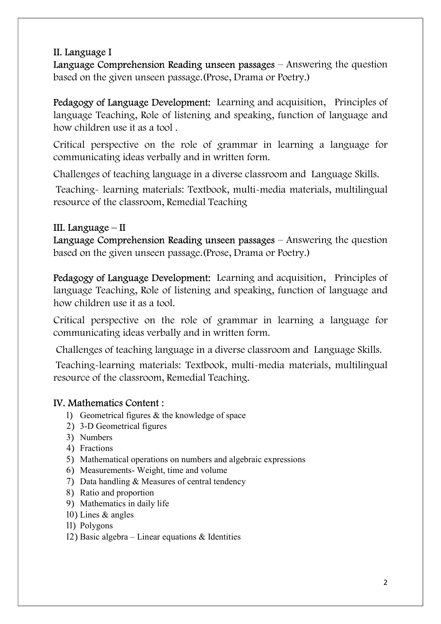### II. Language I

Language Comprehension Reading unseen passages – Answering the question based on the given unseen passage.(Prose, Drama or Poetry.)

Pedagogy of Language Development: Learning and acquisition, Principles of language Teaching, Role of listening and speaking, function of language and how children use it as a tool

Critical perspective on the role of grammar in learning a language for communicating ideas verbally and in written form.

Challenges of teaching language in a diverse classroom and Language Skills.

 Teaching- learning materials: Textbook, multi-media materials, multilingual resource of the classroom, Remedial Teaching

### III. Language – II

Language Comprehension Reading unseen passages – Answering the question based on the given unseen passage.(Prose, Drama or Poetry.)

Pedagogy of Language Development: Learning and acquisition, Principles of language Teaching, Role of listening and speaking, function of language and how children use it as a tool.

Critical perspective on the role of grammar in learning a language for communicating ideas verbally and in written form.

Challenges of teaching language in a diverse classroom and Language Skills.

 Teaching-learning materials: Textbook, multi-media materials, multilingual resource of the classroom, Remedial Teaching.

### IV. Mathematics Content :

- 1) Geometrical figures & the knowledge of space
- 2) 3-D Geometrical figures
- 3) Numbers
- 4) Fractions
- 5) Mathematical operations on numbers and algebraic expressions
- 6) Measurements- Weight, time and volume
- 7) Data handling & Measures of central tendency
- 8) Ratio and proportion
- 9) Mathematics in daily life
- 10) Lines & angles
- 11) Polygons
- 12) Basic algebra Linear equations & Identities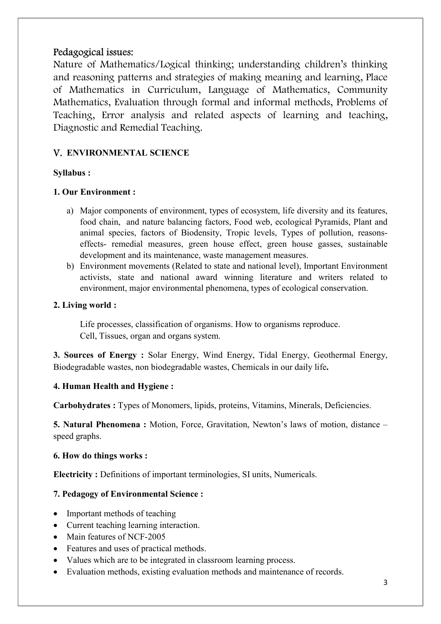### Pedagogical issues:

Nature of Mathematics/Logical thinking; understanding children's thinking and reasoning patterns and strategies of making meaning and learning, Place of Mathematics in Curriculum, Language of Mathematics, Community Mathematics, Evaluation through formal and informal methods, Problems of Teaching, Error analysis and related aspects of learning and teaching, Diagnostic and Remedial Teaching.

### V. ENVIRONMENTAL SCIENCE

#### Syllabus :

#### 1. Our Environment :

- a) Major components of environment, types of ecosystem, life diversity and its features, food chain, and nature balancing factors, Food web, ecological Pyramids, Plant and animal species, factors of Biodensity, Tropic levels, Types of pollution, reasonseffects- remedial measures, green house effect, green house gasses, sustainable development and its maintenance, waste management measures.
- b) Environment movements (Related to state and national level), Important Environment activists, state and national award winning literature and writers related to environment, major environmental phenomena, types of ecological conservation.

#### 2. Living world :

Life processes, classification of organisms. How to organisms reproduce. Cell, Tissues, organ and organs system.

3. Sources of Energy : Solar Energy, Wind Energy, Tidal Energy, Geothermal Energy, Biodegradable wastes, non biodegradable wastes, Chemicals in our daily life.

#### 4. Human Health and Hygiene :

Carbohydrates : Types of Monomers, lipids, proteins, Vitamins, Minerals, Deficiencies.

5. Natural Phenomena : Motion, Force, Gravitation, Newton's laws of motion, distance – speed graphs.

#### 6. How do things works :

Electricity : Definitions of important terminologies, SI units, Numericals.

### 7. Pedagogy of Environmental Science :

- Important methods of teaching
- Current teaching learning interaction.
- Main features of NCF-2005
- Features and uses of practical methods.
- Values which are to be integrated in classroom learning process.
- Evaluation methods, existing evaluation methods and maintenance of records.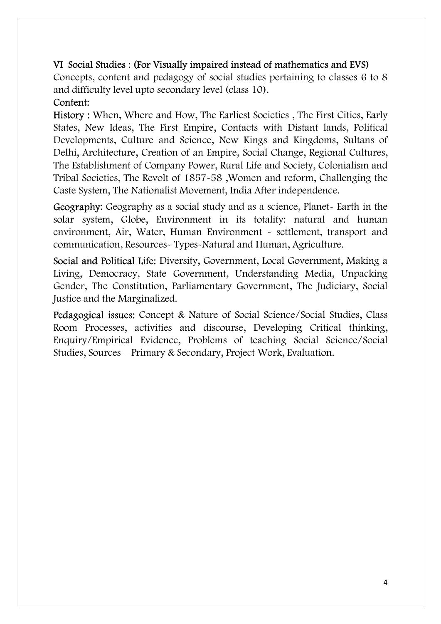### VI Social Studies : (For Visually impaired instead of mathematics and EVS)

Concepts, content and pedagogy of social studies pertaining to classes 6 to 8 and difficulty level upto secondary level (class 10).

### Content:

History : When, Where and How, The Earliest Societies , The First Cities, Early States, New Ideas, The First Empire, Contacts with Distant lands, Political Developments, Culture and Science, New Kings and Kingdoms, Sultans of Delhi, Architecture, Creation of an Empire, Social Change, Regional Cultures, The Establishment of Company Power, Rural Life and Society, Colonialism and Tribal Societies, The Revolt of 1857-58 ,Women and reform, Challenging the Caste System, The Nationalist Movement, India After independence.

Geography: Geography as a social study and as a science, Planet- Earth in the solar system, Globe, Environment in its totality: natural and human environment, Air, Water, Human Environment - settlement, transport and communication, Resources- Types-Natural and Human, Agriculture.

Social and Political Life: Diversity, Government, Local Government, Making a Living, Democracy, State Government, Understanding Media, Unpacking Gender, The Constitution, Parliamentary Government, The Judiciary, Social Justice and the Marginalized.

Pedagogical issues: Concept & Nature of Social Science/Social Studies, Class Room Processes, activities and discourse, Developing Critical thinking, Enquiry/Empirical Evidence, Problems of teaching Social Science/Social Studies, Sources – Primary & Secondary, Project Work, Evaluation.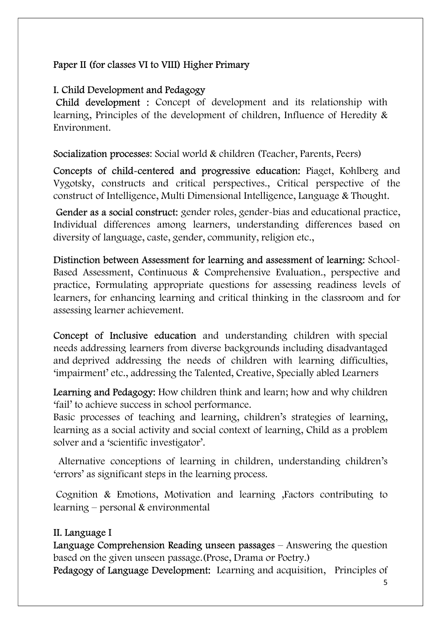# Paper II (for classes VI to VIII) Higher Primary

# I. Child Development and Pedagogy

Child development : Concept of development and its relationship with learning, Principles of the development of children, Influence of Heredity & Environment.

Socialization processes: Social world & children (Teacher, Parents, Peers) Ĭ

Concepts of child-centered and progressive education: Piaget, Kohlberg and Vygotsky, constructs and critical perspectives., Critical perspective of the construct of Intelligence, Multi Dimensional Intelligence, Language & Thought.

Gender as a social construct: gender roles, gender-bias and educational practice, Individual differences among learners, understanding differences based on diversity of language, caste, gender, community, religion etc.,

Distinction between Assessment for learning and assessment of learning: School-Based Assessment, Continuous & Comprehensive Evaluation., perspective and practice, Formulating appropriate questions for assessing readiness levels of learners, for enhancing learning and critical thinking in the classroom and for assessing learner achievement.

Concept of Inclusive education and understanding children with special needs addressing learners from diverse backgrounds including disadvantaged and deprived addressing the needs of children with learning difficulties, 'impairment' etc., addressing the Talented, Creative, Specially abled Learners

Learning and Pedagogy: How children think and learn; how and why children 'fail' to achieve success in school performance.

Basic processes of teaching and learning, children's strategies of learning, learning as a social activity and social context of learning, Child as a problem solver and a 'scientific investigator'.

 Alternative conceptions of learning in children, understanding children's 'errors' as significant steps in the learning process.

 Cognition & Emotions, Motivation and learning ,Factors contributing to learning – personal & environmental

# II. Language I

Language Comprehension Reading unseen passages – Answering the question based on the given unseen passage.(Prose, Drama or Poetry.)

Pedagogy of Language Development: Learning and acquisition, Principles of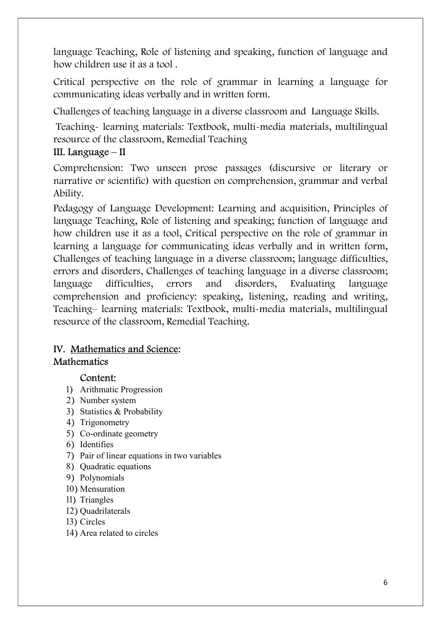language Teaching, Role of listening and speaking, function of language and how children use it as a tool .

Critical perspective on the role of grammar in learning a language for communicating ideas verbally and in written form.

Challenges of teaching language in a diverse classroom and Language Skills.

 Teaching- learning materials: Textbook, multi-media materials, multilingual resource of the classroom, Remedial Teaching

# III. Language – II

Comprehension: Two unseen prose passages (discursive or literary or narrative or scientific) with question on comprehension, grammar and verbal Ability.

Pedagogy of Language Development: Learning and acquisition, Principles of language Teaching, Role of listening and speaking; function of language and how children use it as a tool, Critical perspective on the role of grammar in learning a language for communicating ideas verbally and in written form, Challenges of teaching language in a diverse classroom; language difficulties, errors and disorders, Challenges of teaching language in a diverse classroom; language difficulties, errors and disorders, Evaluating language comprehension and proficiency: speaking, listening, reading and writing, Teaching– learning materials: Textbook, multi-media materials, multilingual resource of the classroom, Remedial Teaching.

# IV. Mathematics and Science:

### Mathematics

### Content:

- 1) Arithmatic Progression
- 2) Number system
- 3) Statistics & Probability
- 4) Trigonometry
- 5) Co-ordinate geometry
- 6) Identifies
- 7) Pair of linear equations in two variables
- 8) Quadratic equations
- 9) Polynomials
- 10) Mensuration
- 11) Triangles
- 12) Quadrilaterals
- 13) Circles
- 14) Area related to circles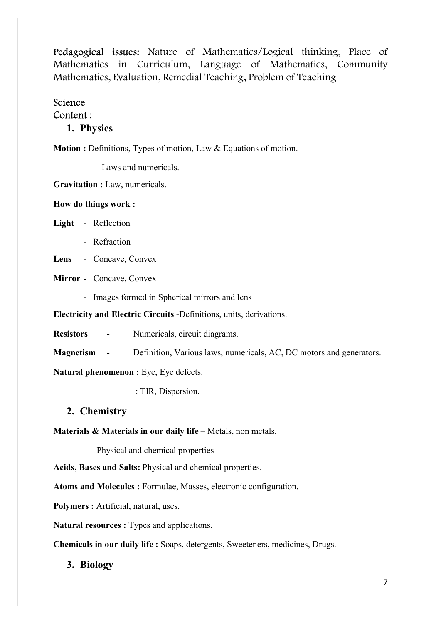Pedagogical issues: Nature of Mathematics/Logical thinking, Place of Mathematics in Curriculum, Language of Mathematics, Community Mathematics, Evaluation, Remedial Teaching, Problem of Teaching

#### Science

#### Content :

### 1. Physics

Motion : Definitions, Types of motion, Law & Equations of motion.

- Laws and numericals.

Gravitation : Law, numericals.

#### How do things work :

Light - Reflection

- Refraction

Lens - Concave, Convex

- Mirror Concave, Convex
	- Images formed in Spherical mirrors and lens

Electricity and Electric Circuits -Definitions, units, derivations.

Resistors - Numericals, circuit diagrams.

Magnetism - Definition, Various laws, numericals, AC, DC motors and generators.

Natural phenomenon : Eye, Eye defects.

: TIR, Dispersion.

### 2. Chemistry

**Materials & Materials in our daily life** – Metals, non metals.

- Physical and chemical properties

Acids, Bases and Salts: Physical and chemical properties.

Atoms and Molecules : Formulae, Masses, electronic configuration.

Polymers : Artificial, natural, uses.

Natural resources : Types and applications.

Chemicals in our daily life : Soaps, detergents, Sweeteners, medicines, Drugs.

3. Biology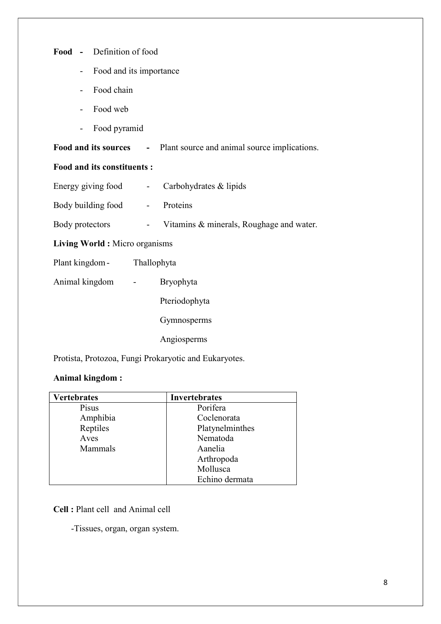Food - Definition of food - Food and its importance - Food chain - Food web - Food pyramid Food and its sources - Plant source and animal source implications. Food and its constituents : Energy giving food - Carbohydrates & lipids Body building food - Proteins Body protectors - Vitamins & minerals, Roughage and water. Living World : Micro organisms Plant kingdom - Thallophyta Animal kingdom - Bryophyta Pteriodophyta Gymnosperms

Angiosperms

Protista, Protozoa, Fungi Prokaryotic and Eukaryotes.

#### Animal kingdom :

| <b>Vertebrates</b> | <b>Invertebrates</b> |
|--------------------|----------------------|
| Pisus              | Porifera             |
| Amphibia           | Coclenorata          |
| Reptiles           | Platynelminthes      |
| Aves               | Nematoda             |
| Mammals            | Aanelia              |
|                    | Arthropoda           |
|                    | Mollusca             |
|                    | Echino dermata       |

#### Cell : Plant cell and Animal cell

-Tissues, organ, organ system.